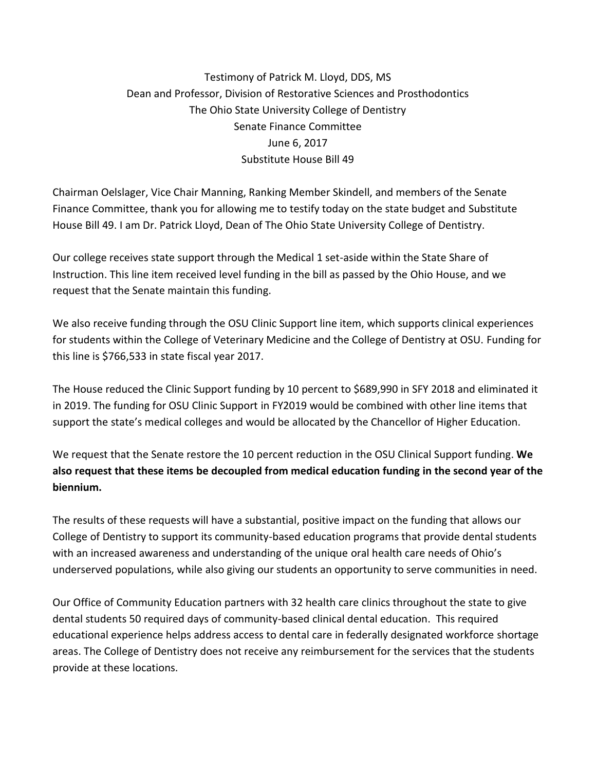## Testimony of [Patrick M. Lloyd, DDS, MS](https://dentistry.osu.edu/faculty/patrick-m-lloyd-dds-ms-facp) Dean and Professor, Division of Restorative Sciences and Prosthodontics The Ohio State University College of Dentistry Senate Finance Committee June 6, 2017 Substitute House Bill 49

Chairman Oelslager, Vice Chair Manning, Ranking Member Skindell, and members of the Senate Finance Committee, thank you for allowing me to testify today on the state budget and Substitute House Bill 49. I am Dr. Patrick Lloyd, Dean of The Ohio State University College of Dentistry.

Our college receives state support through the Medical 1 set-aside within the State Share of Instruction. This line item received level funding in the bill as passed by the Ohio House, and we request that the Senate maintain this funding.

We also receive funding through the OSU Clinic Support line item, which supports clinical experiences for students within the College of Veterinary Medicine and the College of Dentistry at OSU. Funding for this line is \$766,533 in state fiscal year 2017.

The House reduced the Clinic Support funding by 10 percent to \$689,990 in SFY 2018 and eliminated it in 2019. The funding for OSU Clinic Support in FY2019 would be combined with other line items that support the state's medical colleges and would be allocated by the Chancellor of Higher Education.

We request that the Senate restore the 10 percent reduction in the OSU Clinical Support funding. **We also request that these items be decoupled from medical education funding in the second year of the biennium.**

The results of these requests will have a substantial, positive impact on the funding that allows our College of Dentistry to support its community-based education programs that provide dental students with an increased awareness and understanding of the unique oral health care needs of Ohio's underserved populations, while also giving our students an opportunity to serve communities in need.

Our Office of Community Education partners with 32 health care clinics throughout the state to give dental students 50 required days of community-based clinical dental education. This required educational experience helps address access to dental care in federally designated workforce shortage areas. The College of Dentistry does not receive any reimbursement for the services that the students provide at these locations.